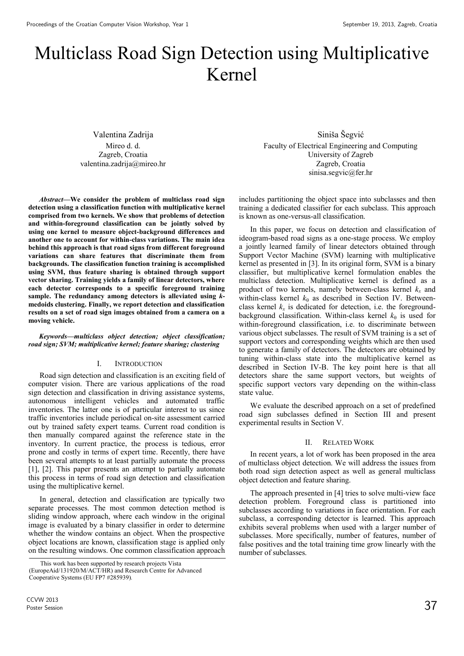# Multiclass Road Sign Detection using Multiplicative Kernel

Valentina Zadrija Mireo d. d. Zagreb, Croatia valentina.zadrija@mireo.hr

*Abstract*—**We consider the problem of multiclass road sign detection using a classification function with multiplicative kernel comprised from two kernels. We show that problems of detection and within-foreground classification can be jointly solved by using one kernel to measure object-background differences and another one to account for within-class variations. The main idea behind this approach is that road signs from different foreground variations can share features that discriminate them from backgrounds. The classification function training is accomplished using SVM, thus feature sharing is obtained through support vector sharing. Training yields a family of linear detectors, where each detector corresponds to a specific foreground training sample. The redundancy among detectors is alleviated using** *k***medoids clustering. Finally, we report detection and classification results on a set of road sign images obtained from a camera on a moving vehicle.** 

### *Keywords*—*multiclass object detection; object classification; road sign; SVM; multiplicative kernel; feature sharing; clustering*

# I. INTRODUCTION

Road sign detection and classification is an exciting field of computer vision. There are various applications of the road sign detection and classification in driving assistance systems, autonomous intelligent vehicles and automated traffic inventories. The latter one is of particular interest to us since traffic inventories include periodical on-site assessment carried out by trained safety expert teams. Current road condition is then manually compared against the reference state in the inventory. In current practice, the process is tedious, error prone and costly in terms of expert time. Recently, there have been several attempts to at least partially automate the process [1], [2]. This paper presents an attempt to partially automate this process in terms of road sign detection and classification using the multiplicative kernel.

In general, detection and classification are typically two separate processes. The most common detection method is sliding window approach, where each window in the original image is evaluated by a binary classifier in order to determine whether the window contains an object. When the prospective object locations are known, classification stage is applied only on the resulting windows. One common classification approach

Siniša Šegvić Faculty of Electrical Engineering and Computing University of Zagreb Zagreb, Croatia sinisa.segvic@fer.hr

includes partitioning the object space into subclasses and then training a dedicated classifier for each subclass. This approach is known as one-versus-all classification.

In this paper, we focus on detection and classification of ideogram-based road signs as a one-stage process. We employ a jointly learned family of linear detectors obtained through Support Vector Machine (SVM) learning with multiplicative kernel as presented in [3]. In its original form, SVM is a binary classifier, but multiplicative kernel formulation enables the multiclass detection. Multiplicative kernel is defined as a product of two kernels, namely between-class kernel *k<sup>x</sup>* and within-class kernel  $k_0$  as described in Section IV. Betweenclass kernel  $k_x$  is dedicated for detection, i.e. the foregroundbackground classification. Within-class kernel  $k_{\theta}$  is used for within-foreground classification, i.e. to discriminate between various object subclasses. The result of SVM training is a set of support vectors and corresponding weights which are then used to generate a family of detectors. The detectors are obtained by tuning within-class state into the multiplicative kernel as described in Section IV-B. The key point here is that all detectors share the same support vectors, but weights of specific support vectors vary depending on the within-class state value.

We evaluate the described approach on a set of predefined road sign subclasses defined in Section III and present experimental results in Section V.

#### II. RELATED WORK

In recent years, a lot of work has been proposed in the area of multiclass object detection. We will address the issues from both road sign detection aspect as well as general multiclass object detection and feature sharing.

The approach presented in [4] tries to solve multi-view face detection problem. Foreground class is partitioned into subclasses according to variations in face orientation. For each subclass, a corresponding detector is learned. This approach exhibits several problems when used with a larger number of subclasses. More specifically, number of features, number of false positives and the total training time grow linearly with the number of subclasses.

This work has been supported by research projects Vista (EuropeAid/131920/M/ACT/HR) and Research Centre for Advanced Cooperative Systems (EU FP7 #285939)*.*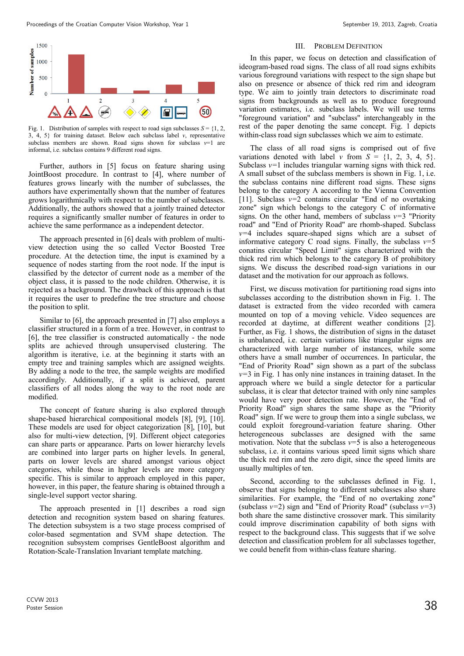

Fig. 1. Distribution of samples with respect to road sign subclasses  $S = \{1, 2, \ldots\}$ 3, 4, 5} for training dataset. Below each subclass label *v*, representative subclass members are shown. Road signs shown for subclass  $v=1$  are informal, i.e. subclass contains 9 different road signs.

Further, authors in [5] focus on feature sharing using JointBoost procedure. In contrast to [4], where number of features grows linearly with the number of subclasses, the authors have experimentally shown that the number of features grows logarithmically with respect to the number of subclasses. Additionally, the authors showed that a jointly trained detector requires a significantly smaller number of features in order to achieve the same performance as a independent detector.

The approach presented in [6] deals with problem of multiview detection using the so called Vector Boosted Tree procedure. At the detection time, the input is examined by a sequence of nodes starting from the root node. If the input is classified by the detector of current node as a member of the object class, it is passed to the node children. Otherwise, it is rejected as a background. The drawback of this approach is that it requires the user to predefine the tree structure and choose the position to split.

Similar to [6], the approach presented in [7] also employs a classifier structured in a form of a tree. However, in contrast to [6], the tree classifier is constructed automatically - the node splits are achieved through unsupervised clustering. The algorithm is iterative, i.e. at the beginning it starts with an empty tree and training samples which are assigned weights. By adding a node to the tree, the sample weights are modified accordingly. Additionally, if a split is achieved, parent classifiers of all nodes along the way to the root node are modified.

The concept of feature sharing is also explored through shape-based hierarchical compositional models [8], [9], [10]. These models are used for object categorization [8], [10], but also for multi-view detection, [9]. Different object categories can share parts or appearance. Parts on lower hierarchy levels are combined into larger parts on higher levels. In general, parts on lower levels are shared amongst various object categories, while those in higher levels are more category specific. This is similar to approach employed in this paper, however, in this paper, the feature sharing is obtained through a single-level support vector sharing.

The approach presented in [1] describes a road sign detection and recognition system based on sharing features. The detection subsystem is a two stage process comprised of color-based segmentation and SVM shape detection. The recognition subsystem comprises GentleBoost algorithm and Rotation-Scale-Translation Invariant template matching.

## III. PROBLEM DEFINITION

In this paper, we focus on detection and classification of ideogram-based road signs. The class of all road signs exhibits various foreground variations with respect to the sign shape but also on presence or absence of thick red rim and ideogram type. We aim to jointly train detectors to discriminate road signs from backgrounds as well as to produce foreground variation estimates, i.e. subclass labels. We will use terms "foreground variation" and "subclass" interchangeably in the rest of the paper denoting the same concept. Fig. 1 depicts within-class road sign subclasses which we aim to estimate.

The class of all road signs is comprised out of five variations denoted with label *v* from  $S = \{1, 2, 3, 4, 5\}.$ Subclass *v=*1 includes triangular warning signs with thick red. A small subset of the subclass members is shown in Fig. 1, i.e. the subclass contains nine different road signs. These signs belong to the category A according to the Vienna Convention [11]. Subclass  $v=2$  contains circular "End of no overtaking zone" sign which belongs to the category C of informative signs. On the other hand, members of subclass  $v=3$  "Priority" road" and "End of Priority Road" are rhomb-shaped. Subclass *v=*4 includes square-shaped signs which are a subset of informative category C road signs. Finally, the subclass *v=*5 conatins circular "Speed Limit" signs characterized with the thick red rim which belongs to the category B of prohibitory signs. We discuss the described road-sign variations in our dataset and the motivation for our approach as follows.

First, we discuss motivation for partitioning road signs into subclasses according to the distribution shown in Fig. 1. The dataset is extracted from the video recorded with camera mounted on top of a moving vehicle. Video sequences are recorded at daytime, at different weather conditions [2]. Further, as Fig. 1 shows, the distribution of signs in the dataset is unbalanced, i.e. certain variations like triangular signs are characterized with large number of instances, while some others have a small number of occurrences. In particular, the "End of Priority Road" sign shown as a part of the subclass *v=*3 in Fig. 1 has only nine instances in training dataset. In the approach where we build a single detector for a particular subclass, it is clear that detector trained with only nine samples would have very poor detection rate. However, the "End of Priority Road" sign shares the same shape as the "Priority Road" sign. If we were to group them into a single subclass, we could exploit foreground-variation feature sharing. Other heterogeneous subclasses are designed with the same motivation. Note that the subclass  $v=5$  is also a heterogeneous subclass, i.e. it contains various speed limit signs which share the thick red rim and the zero digit, since the speed limits are usually multiples of ten.

Second, according to the subclasses defined in Fig. 1, observe that signs belonging to different subclasses also share similarities. For example, the "End of no overtaking zone" (subclass *v=*2) sign and "End of Priority Road" (subclass *v=*3) both share the same distinctive crossover mark. This similarity could improve discrimination capability of both signs with respect to the background class. This suggests that if we solve detection and classification problem for all subclasses together, we could benefit from within-class feature sharing.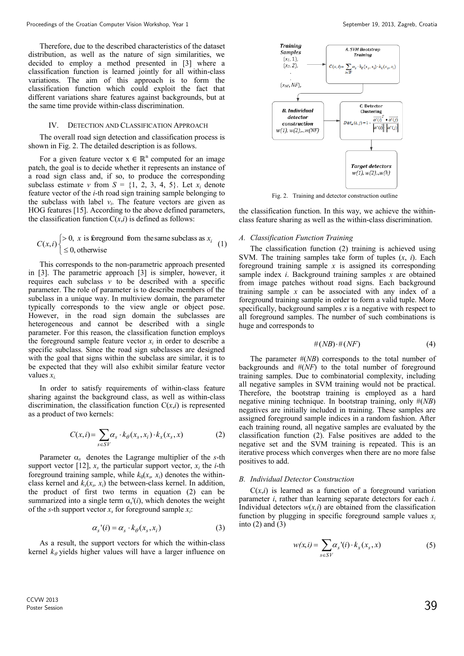Therefore, due to the described characteristics of the dataset distribution, as well as the nature of sign similarities, we decided to employ a method presented in [3] where a classification function is learned jointly for all within-class variations. The aim of this approach is to form the classification function which could exploit the fact that different variations share features against backgrounds, but at the same time provide within-class discrimination.

## IV. DETECTION AND CLASSIFICATION APPROACH

The overall road sign detection and classification process is shown in Fig. 2. The detailed description is as follows.

For a given feature vector  $x \in \mathbb{R}^n$  computed for an image patch, the goal is to decide whether it represents an instance of a road sign class and, if so, to produce the corresponding subclass estimate *v* from  $S = \{1, 2, 3, 4, 5\}$ . Let  $x_i$  denote feature vector of the *i*-th road sign training sample belonging to the subclass with label  $v_i$ . The feature vectors are given as HOG features [15]. According to the above defined parameters, the classification function  $C(x,i)$  is defined as follows:

$$
C(x, i) \begin{cases} > 0, x \text{ is foreground from the same subclass as } x_i \\ \leq 0, \text{ otherwise} \end{cases}
$$
 (1)   
1)

This corresponds to the non-parametric approach presented in [3]. The parametric approach [3] is simpler, however, it requires each subclass  $v$  to be described with a specific parameter. The role of parameter is to describe members of the subclass in a unique way. In multiview domain, the parameter typically corresponds to the view angle or object pose. However, in the road sign domain the subclasses are heterogeneous and cannot be described with a single parameter. For this reason, the classification function employs the foreground sample feature vector  $x_i$  in order to describe a specific subclass. Since the road sign subclasses are designed with the goal that signs within the subclass are similar, it is to be expected that they will also exhibit similar feature vector values *xi.*

In order to satisfy requirements of within-class feature sharing against the background class, as well as within-class discrimination, the classification function  $C(x,i)$  is represented as a product of two kernels:

$$
C(x,i) = \sum_{s \in SV} \alpha_s \cdot k_\theta(x_s, x_i) \cdot k_x(x_s, x)
$$
 (2)

Parameter  $\alpha_s$  denotes the Lagrange multiplier of the *s*-th support vector [12],  $x_s$  the particular support vector,  $x_i$  the *i*-th foreground training sample, while  $k_{\theta}(x_s, x_i)$  denotes the withinclass kernel and  $k_x(x_s, x_i)$  the between-class kernel. In addition, the product of first two terms in equation (2) can be summarized into a single term  $\alpha_s$ <sup>'</sup>(*i*), which denotes the weight of the *s*-th support vector *x<sup>s</sup>* for foreground sample *x<sup>i</sup>* :

$$
\alpha_s'(i) = \alpha_s \cdot k_\theta(x_s, x_i) \tag{3}
$$

As a result, the support vectors for which the within-class kernel  $k_{\theta}$  yields higher values will have a larger influence on



Fig. 2. Training and detector construction outline

the classification function. In this way, we achieve the withinclass feature sharing as well as the within-class discrimination.

#### *A. Classification Function Training*

The classification function (2) training is achieved using SVM. The training samples take form of tuples (*x*, *i*). Each foreground training sample *x* is assigned its corresponding sample index *i*. Background training samples *x* are obtained from image patches without road signs. Each background training sample *x* can be associated with any index of a foreground training sample in order to form a valid tuple. More specifically, background samples *x* is a negative with respect to all foreground samples. The number of such combinations is huge and corresponds to

$$
\#(NB) \cdot \#(NF) \tag{4}
$$

(2) classification function (2). False positives are added to the The parameter #(*NB*) corresponds to the total number of backgrounds and #(*NF*) to the total number of foreground training samples. Due to combinatorial complexity, including all negative samples in SVM training would not be practical. Therefore, the bootstrap training is employed as a hard negative mining technique. In bootstrap training, only #(*NB*) negatives are initially included in training. These samples are assigned foreground sample indices in a random fashion. After each training round, all negative samples are evaluated by the negative set and the SVM training is repeated. This is an iterative process which converges when there are no more false positives to add.

## *B. Individual Detector Construction*

 $C(x,i)$  is learned as a function of a foreground variation parameter *i*, rather than learning separate detectors for each *i*. Individual detectors  $w(x, i)$  are obtained from the classification function by plugging in specific foreground sample values  $x_i$ into  $(2)$  and  $(3)$ 

$$
w(x,i) = \sum_{s \in SV} \alpha_s \dot{v}(i) \cdot k_x(x_s, x) \tag{5}
$$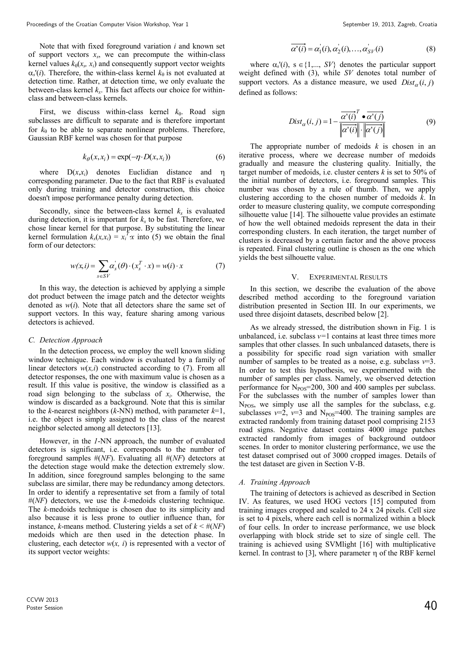Note that with fixed foreground variation *i* and known set of support vectors  $x_s$ , we can precompute the within-class kernel values  $k_{\theta}(x_s, x_i)$  and consequently support vector weights  $\alpha_s$ <sup>'</sup>(*i*). Therefore, the within-class kernel  $k_\theta$  is not evaluated at detection time. Rather, at detection time, we only evaluate the between-class kernel *k<sup>x</sup>* . This fact affects our choice for withinclass and between-class kernels.

First, we discuss within-class kernel  $k_{\theta}$ . Road sign subclasses are difficult to separate and is therefore important for  $k_{\theta}$  to be able to separate nonlinear problems. Therefore, Gaussian RBF kernel was chosen for that purpose

$$
k_{\theta}(x, x_i) = \exp(-\eta \cdot D(x, x_i))
$$
\n(6)

where  $D(x,x_i)$  denotes Euclidian distance and  $\eta$ corresponding parameter. Due to the fact that RBF is evaluated only during training and detector construction, this choice doesn't impose performance penalty during detection.

Secondly, since the between-class kernel  $k_x$  is evaluated during detection, it is important for  $k_x$  to be fast. Therefore, we chose linear kernel for that purpose. By substituting the linear kernel formulation  $k_x(x, x_i) = x_i^T x$  into (5) we obtain the final form of our detectors:

$$
w(x, i) = \sum_{s \in SV} \alpha_s^{\dagger}(\theta) \cdot (x_s^T \cdot x) = w(i) \cdot x \tag{7}
$$

In this way, the detection is achieved by applying a simple dot product between the image patch and the detector weights denoted as *w*(*i*). Note that all detectors share the same set of support vectors. In this way, feature sharing among various detectors is achieved.

#### *C. Detection Approach*

In the detection process, we employ the well known sliding window technique. Each window is evaluated by a family of linear detectors  $w(x,i)$  constructed according to (7). From all detector responses, the one with maximum value is chosen as a result. If this value is positive, the window is classified as a road sign belonging to the subclass of *x<sup>i</sup>* . Otherwise, the window is discarded as a background. Note that this is similar to the *k*-nearest neighbors (*k*-NN) method, with parameter *k*=1, i.e. the object is simply assigned to the class of the nearest neighbor selected among all detectors [13].

However, in the *1*-NN approach, the number of evaluated detectors is significant, i.e. corresponds to the number of foreground samples #(*NF*). Evaluating all #(*NF*) detectors at the detection stage would make the detection extremely slow. In addition, since foreground samples belonging to the same subclass are similar, there may be redundancy among detectors. In order to identify a representative set from a family of total #(*NF*) detectors, we use the *k-*medoids clustering technique. The *k*-medoids technique is chosen due to its simplicity and also because it is less prone to outlier influence than, for instance, *k*-means method. Clustering yields a set of  $k \leq \#(NF)$ medoids which are then used in the detection phase. In clustering, each detector  $w(x, i)$  is represented with a vector of its support vector weights:

$$
\overline{\alpha'(i)} = \alpha_1(i), \alpha_2(i), \dots, \alpha_{SV}'(i) \tag{8}
$$

where  $\alpha_s'(i)$ ,  $s \in \{1,..., SV\}$  denotes the particular support weight defined with (3), while *SV* denotes total number of support vectors. As a distance measure, we used  $Dist_{\alpha}(i, j)$ defined as follows:

$$
Dist_{\alpha}(i, j) = 1 - \frac{\overline{\alpha'(i)}^T \bullet \overline{\alpha'(j)}}{\left\| \overline{\alpha'(i)} \right\| \cdot \left\| \overline{\alpha'(j)} \right\|} \tag{9}
$$

 iterative process, where we decrease number of medoids The appropriate number of medoids *k* is chosen in an gradually and measure the clustering quality. Initially, the target number of medoids, i.e. cluster centers *k* is set to 50% of the initial number of detectors, i.e. foreground samples. This number was chosen by a rule of thumb. Then, we apply clustering according to the chosen number of medoids *k*. In order to measure clustering quality, we compute corresponding silhouette value [14]. The silhouette value provides an estimate of how the well obtained medoids represent the data in their corresponding clusters. In each iteration, the target number of clusters is decreased by a certain factor and the above process is repeated. Final clustering outline is chosen as the one which yields the best silhouette value.

#### V. EXPERIMENTAL RESULTS

In this section, we describe the evaluation of the above described method according to the foreground variation distribution presented in Section III. In our experiments, we used three disjoint datasets, described below [2].

As we already stressed, the distribution shown in Fig. 1 is unbalanced, i.e. subclass  $v=1$  contains at least three times more samples that other classes. In such unbalanced datasets, there is a possibility for specific road sign variation with smaller number of samples to be treated as a noise, e.g. subclass  $v=3$ . In order to test this hypothesis, we experimented with the number of samples per class. Namely, we observed detection performance for  $N_{POS}$ =200, 300 and 400 samples per subclass. For the subclasses with the number of samples lower than  $N_{POS}$ , we simply use all the samples for the subclass, e.g. subclasses  $v=2$ ,  $v=3$  and N<sub>POS</sub>=400. The training samples are extracted randomly from training dataset pool comprising 2153 road signs. Negative dataset contains 4000 image patches extracted randomly from images of background outdoor scenes. In order to monitor clustering performance, we use the test dataset comprised out of 3000 cropped images. Details of the test dataset are given in Section V-B.

#### *A. Training Approach*

The training of detectors is achieved as described in Section IV. As features, we used HOG vectors [15] computed from training images cropped and scaled to 24 x 24 pixels. Cell size is set to 4 pixels, where each cell is normalized within a block of four cells. In order to increase performance, we use block overlapping with block stride set to size of single cell. The training is achieved using SVMlight [16] with multiplicative kernel. In contrast to [3], where parameter n of the RBF kernel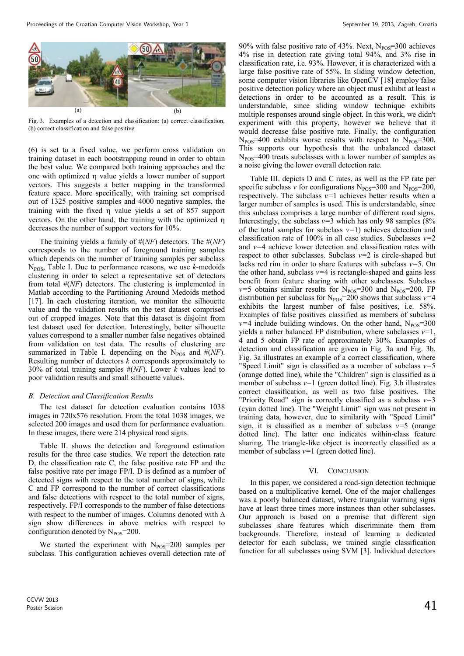

Fig. 3. Examples of a detection and classification: (a) correct classification, (b) correct classification and false positive.

(6) is set to a fixed value, we perform cross validation on training dataset in each bootstrapping round in order to obtain the best value. We compared both training approaches and the one with optimized  $\eta$  value yields a lower number of support vectors. This suggests a better mapping in the transformed feature space. More specifically, with training set comprised out of 1325 positive samples and 4000 negative samples, the training with the fixed  $\eta$  value yields a set of 857 support vectors. On the other hand, the training with the optimized decreases the number of support vectors for 10%.

The training yields a family of #(*NF*) detectors. The #(*NF*) corresponds to the number of foreground training samples which depends on the number of training samples per subclass NPOS, Table I. Due to performance reasons, we use *k*-medoids clustering in order to select a representative set of detectors from total #(*NF*) detectors. The clustering is implemented in Matlab according to the Partitioning Around Medoids method [17]. In each clustering iteration, we monitor the silhouette value and the validation results on the test dataset comprised out of cropped images. Note that this dataset is disjoint from test dataset used for detection. Interestingly, better silhouette values correspond to a smaller number false negatives obtained from validation on test data. The results of clustering are summarized in Table I. depending on the  $N_{POS}$  and  $\#(NF)$ . Resulting number of detectors *k* corresponds approximately to 30% of total training samples #(*NF*). Lower *k* values lead to poor validation results and small silhouette values.

## *B. Detection and Classification Results*

The test dataset for detection evaluation contains 1038 images in 720x576 resolution. From the total 1038 images, we selected 200 images and used them for performance evaluation. In these images, there were 214 physical road signs.

Table II. shows the detection and foreground estimation results for the three case studies. We report the detection rate D, the classification rate C, the false positive rate FP and the false positive rate per image FP/I. D is defined as a number of detected signs with respect to the total number of signs, while C and FP correspond to the number of correct classifications and false detections with respect to the total number of signs, respectively. FP/I corresponds to the number of false detections with respect to the number of images. Columns denoted with  $\Delta$ sign show differences in above metrics with respect to configuration denoted by  $N_{POS}$ =200.

We started the experiment with  $N_{POS}=200$  samples per subclass. This configuration achieves overall detection rate of 90% with false positive rate of 43%. Next,  $N_{POS}=300$  achieves 4% rise in detection rate giving total 94%, and 3% rise in classification rate, i.e. 93%. However, it is characterized with a large false positive rate of 55%. In sliding window detection, some computer vision libraries like OpenCV [18] employ false positive detection policy where an object must exhibit at least *n* detections in order to be accounted as a result. This is understandable, since sliding window technique exhibits multiple responses around single object. In this work, we didn't experiment with this property, however we believe that it would decrease false positive rate. Finally, the configuration  $N_{POS}$ =400 exhibits worse results with respect to  $N_{POS}$ =300. This supports our hypothesis that the unbalanced dataset  $N_{\text{POS}}$ =400 treats subclasses with a lower number of samples as a noise giving the lower overall detection rate.

Table III. depicts D and C rates, as well as the FP rate per specific subclass *v* for configurations  $N_{POS}$ =300 and  $N_{POS}$ =200, respectively. The subclass *v=*1 achieves better results when a larger number of samples is used. This is understandable, since this subclass comprises a large number of different road signs. Interestingly, the subclass  $v=3$  which has only 98 samples (8%) of the total samples for subclass *v=*1) achieves detection and classification rate of 100% in all case studies. Subclasses *v=*2 and *v=*4 achieve lower detection and classification rates with respect to other subclasses. Subclass *v=*2 is circle-shaped but lacks red rim in order to share features with subclass *v=*5. On the other hand, subclass  $v=4$  is rectangle-shaped and gains less benefit from feature sharing with other subclasses. Subclass  $v=5$  obtains similar results for  $N_{POS}=300$  and  $N_{POS}=200$ . FP distribution per subclass for  $N_{POS}$ =200 shows that subclass  $v=4$ exhibits the largest number of false positives, i.e. 58%. Examples of false positives classified as members of subclass  $v=4$  include building windows. On the other hand,  $N_{POS}=300$ yields a rather balanced FP distribution, where subclasses *v=*1, 4 and 5 obtain FP rate of approximately 30%. Examples of detection and classification are given in Fig. 3a and Fig. 3b. Fig. 3a illustrates an example of a correct classification, where "Speed Limit" sign is classified as a member of subclass *v=*5 (orange dotted line), while the "Children" sign is classified as a member of subclass  $v=1$  (green dotted line). Fig. 3.b illustrates correct classification, as well as two false positives. The "Priority Road" sign is correctly classified as a subclass *v=*3 (cyan dotted line). The "Weight Limit" sign was not present in training data, however, due to similarity with "Speed Limit" sign, it is classified as a member of subclass  $v=5$  (orange dotted line). The latter one indicates within-class feature sharing. The triangle-like object is incorrectly classified as a member of subclass *v=*1 (green dotted line).

#### VI. CONCLUSION

In this paper, we considered a road-sign detection technique based on a multiplicative kernel. One of the major challenges was a poorly balanced dataset, where triangular warning signs have at least three times more instances than other subclasses. Our approach is based on a premise that different sign subclasses share features which discriminate them from backgrounds. Therefore, instead of learning a dedicated detector for each subclass, we trained single classification function for all subclasses using SVM [3]. Individual detectors